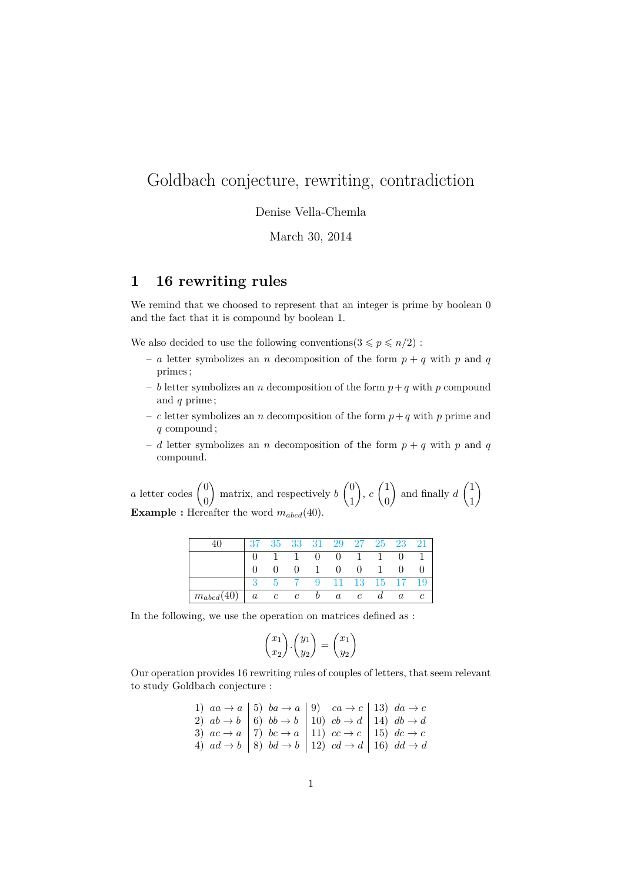# Goldbach conjecture, rewriting, contradiction

Denise Vella-Chemla

March 30, 2014

#### **1 16 rewriting rules**

We remind that we choosed to represent that an integer is prime by boolean  $0$ and the fact that it is compound by boolean 1.

We also decided to use the following conventions  $(3 \leq p \leq n/2)$ :

- *a* letter symbolizes an *n* decomposition of the form  $p + q$  with *p* and *q* primes ;
- $b$  letter symbolizes an *n* decomposition of the form  $p + q$  with *p* compound and *q* prime ;
- *c* letter symbolizes an *n* decomposition of the form  $p + q$  with *p* prime and *q* compound ;
- *d* letter symbolizes an *n* decomposition of the form  $p + q$  with *p* and *q* compound.

*a* letter codes  $\begin{pmatrix} 0 \\ 0 \end{pmatrix}$ 0 ) matrix, and respectively  $b \begin{pmatrix} 0 \\ 1 \end{pmatrix}$ 1  $\Big), c \ \Big( \frac{1}{2} \Big)$ 0 ) and finally  $d \begin{pmatrix} 1 \\ 1 \end{pmatrix}$ 1  $\setminus$ **Example :** Hereafter the word  $m_{abcd}(40)$ .

|                |         |             |               |                                        | 35 33 31 29 27 25 23 21 |                |                  |                  |  |
|----------------|---------|-------------|---------------|----------------------------------------|-------------------------|----------------|------------------|------------------|--|
|                |         |             | $\sim$ 1      | $\begin{array}{ccc} & & 0 \end{array}$ |                         | $0 \quad 1$    | $\overline{1}$   |                  |  |
|                |         |             |               | $\mathbf{1}$                           | $\overline{0}$          | $\overline{0}$ | $\mathbf{1}$     | $\theta$         |  |
|                |         |             |               | 9                                      | 11 13 15 17 19          |                |                  |                  |  |
| $m_{abcd}(40)$ | $\it a$ | $\cdot$ $c$ | $\mathcal{C}$ | $\boldsymbol{v}$                       | $\boldsymbol{a}$        | $\mathcal{C}$  | $\boldsymbol{a}$ | $\boldsymbol{a}$ |  |

In the following, we use the operation on matrices defined as :

$$
\begin{pmatrix} x_1 \\ x_2 \end{pmatrix} \cdot \begin{pmatrix} y_1 \\ y_2 \end{pmatrix} = \begin{pmatrix} x_1 \\ y_2 \end{pmatrix}
$$

Our operation provides 16 rewriting rules of couples of letters, that seem relevant to study Goldbach conjecture :

1) 
$$
aa \rightarrow a
$$
 \n5)  $ba \rightarrow a$  \n9)  $ca \rightarrow c$  \n13)  $da \rightarrow c$  \n2)  $ab \rightarrow b$  \n6)  $bb \rightarrow b$  \n10)  $cb \rightarrow d$  \n11)  $db \rightarrow d$  \n3)  $ac \rightarrow a$  \n7)  $bc \rightarrow a$  \n11)  $cc \rightarrow c$  \n15)  $dc \rightarrow c$  \n4)  $ad \rightarrow b$  \n8)  $bd \rightarrow b$  \n12)  $cd \rightarrow d$  \n16)  $dd \rightarrow d$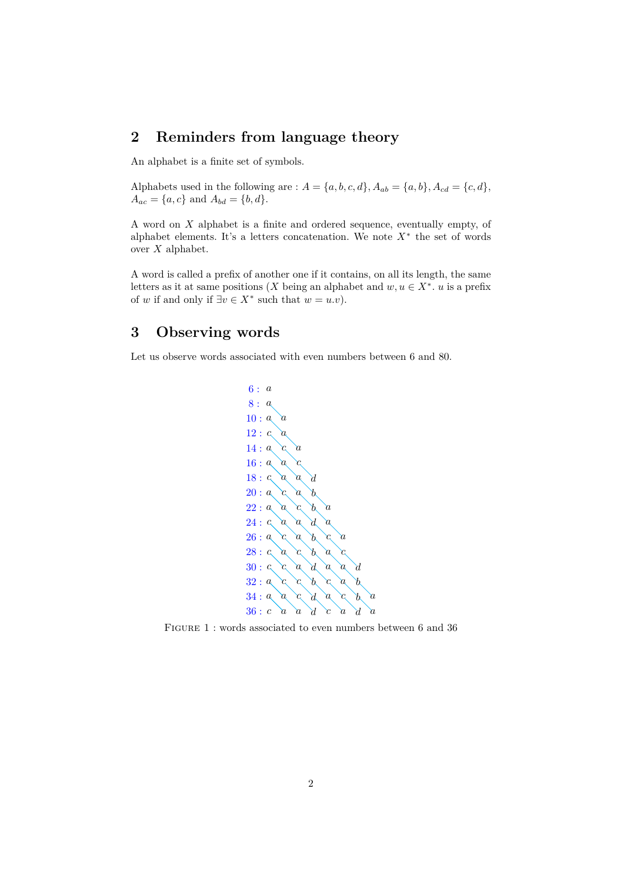# **2 Reminders from language theory**

An alphabet is a finite set of symbols.

Alphabets used in the following are :  $A = \{a, b, c, d\}$ ,  $A_{ab} = \{a, b\}$ ,  $A_{cd} = \{c, d\}$ ,  $A_{ac} = \{a, c\}$  and  $A_{bd} = \{b, d\}.$ 

A word on *X* alphabet is a finite and ordered sequence, eventually empty, of alphabet elements. It's a letters concatenation. We note  $X^*$  the set of words over *X* alphabet.

A word is called a prefix of another one if it contains, on all its length, the same letters as it at same positions (*X* being an alphabet and  $w, u \in X^*$ . *u* is a prefix of *w* if and only if  $\exists v \in X^*$  such that  $w = u.v$ ).

#### **3 Observing words**

Let us observe words associated with even numbers between 6 and 80.



FIGURE 1 : words associated to even numbers between 6 and 36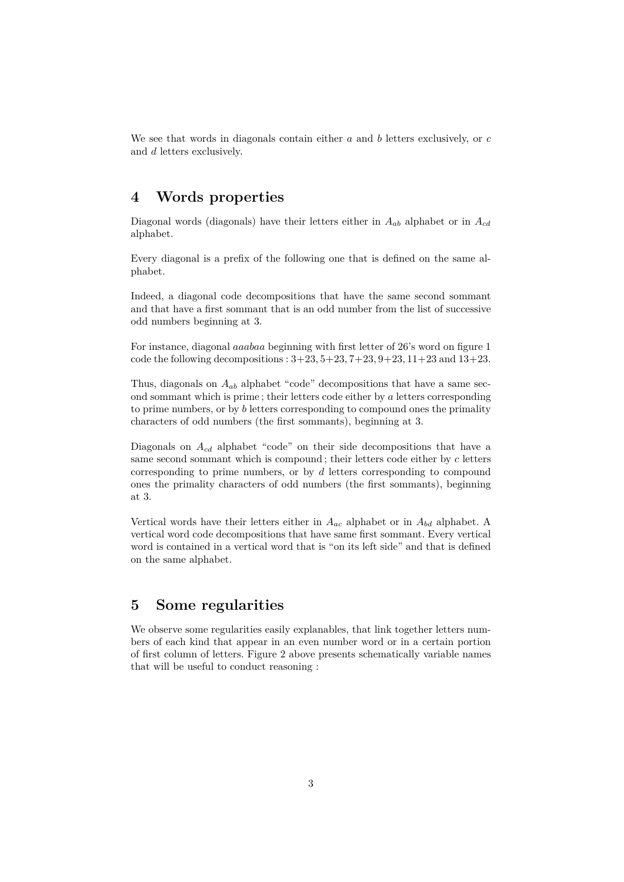We see that words in diagonals contain either *a* and *b* letters exclusively, or *c* and *d* letters exclusively.

## **4 Words properties**

Diagonal words (diagonals) have their letters either in *Aab* alphabet or in *Acd* alphabet.

Every diagonal is a prefix of the following one that is defined on the same alphabet.

Indeed, a diagonal code decompositions that have the same second sommant and that have a first sommant that is an odd number from the list of successive odd numbers beginning at 3.

For instance, diagonal *aaabaa* beginning with first letter of 26's word on figure 1 code the following decompositions : 3+23*,* 5+23*,* 7+23*,* 9+23*,* 11+23 and 13+23.

Thus, diagonals on  $A_{ab}$  alphabet "code" decompositions that have a same second sommant which is prime ; their letters code either by *a* letters corresponding to prime numbers, or by *b* letters corresponding to compound ones the primality characters of odd numbers (the first sommants), beginning at 3.

Diagonals on *Acd* alphabet "code" on their side decompositions that have a same second sommant which is compound ; their letters code either by *c* letters corresponding to prime numbers, or by *d* letters corresponding to compound ones the primality characters of odd numbers (the first sommants), beginning at 3.

Vertical words have their letters either in  $A_{ac}$  alphabet or in  $A_{bd}$  alphabet. A vertical word code decompositions that have same first sommant. Every vertical word is contained in a vertical word that is "on its left side" and that is defined on the same alphabet.

## **5 Some regularities**

We observe some regularities easily explanables, that link together letters numbers of each kind that appear in an even number word or in a certain portion of first column of letters. Figure 2 above presents schematically variable names that will be useful to conduct reasoning :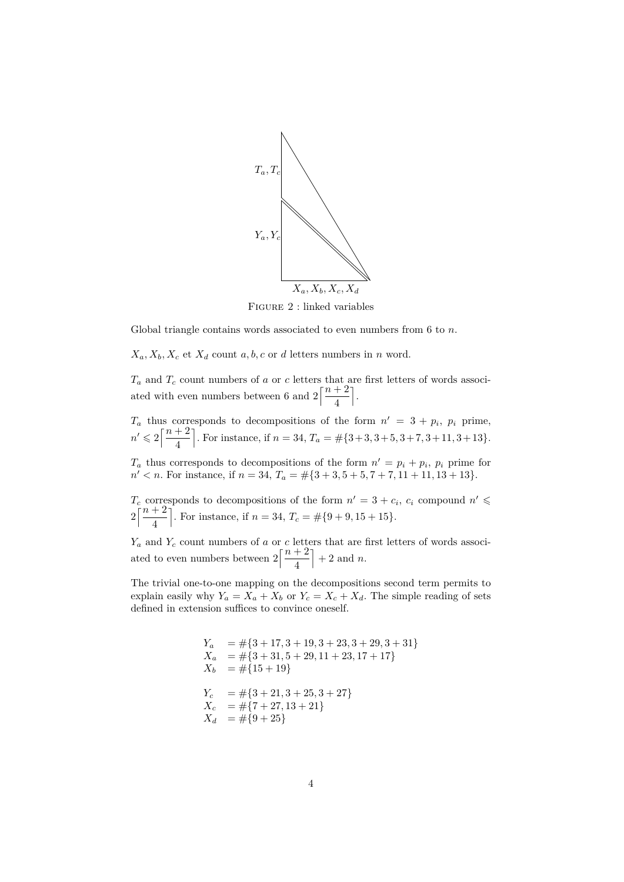

Figure 2 : linked variables

Global triangle contains words associated to even numbers from 6 to *n*.

 $X_a, X_b, X_c$  et  $X_d$  count  $a, b, c$  or  $d$  letters numbers in  $n$  word.

 $T_a$  and  $T_c$  count numbers of *a* or *c* letters that are first letters of words associated with even numbers between 6 and  $2\left[\frac{n+2}{4}\right]$ 4 m .

 $T_a$  thus corresponds to decompositions of the form  $n' = 3 + p_i$ ,  $p_i$  prime,  $n' \leqslant 2\left\lceil \frac{n+2}{4} \right\rceil$ 4 For instance, if  $n = 34$ ,  $T_a = \# \{3+3, 3+5, 3+7, 3+11, 3+13\}.$ 

 $T_a$  thus corresponds to decompositions of the form  $n' = p_i + p_i$ ,  $p_i$  prime for  $n' < n$ . For instance, if  $n = 34$ ,  $T_a = \#\{3 + 3, 5 + 5, 7 + 7, 11 + 11, 13 + 13\}$ .

 $T_c$  corresponds to decompositions of the form  $n' = 3 + c_i$ ,  $c_i$  compound  $n' \leq$  $2\left[\frac{n+2}{4}\right]$ 4 . For instance, if  $n = 34$ ,  $T_c = \text{\#} \{9 + 9, 15 + 15\}.$ 

 $Y_a$  and  $Y_c$  count numbers of *a* or *c* letters that are first letters of words associated to even numbers between  $2\left[\frac{n+2}{4}\right]$ 4  $+ 2$  and *n*.

The trivial one-to-one mapping on the decompositions second term permits to explain easily why  $Y_a = X_a + X_b$  or  $Y_c = X_c + X_d$ . The simple reading of sets defined in extension suffices to convince oneself.

$$
Y_a = #{3 + 17, 3 + 19, 3 + 23, 3 + 29, 3 + 31}
$$
  
\n
$$
X_a = #{3 + 31, 5 + 29, 11 + 23, 17 + 17}
$$
  
\n
$$
X_b = #{15 + 19}
$$
  
\n
$$
Y_c = #{3 + 21, 3 + 25, 3 + 27}
$$
  
\n
$$
X_c = #{7 + 27, 13 + 21}
$$
  
\n
$$
X_d = #{9 + 25}
$$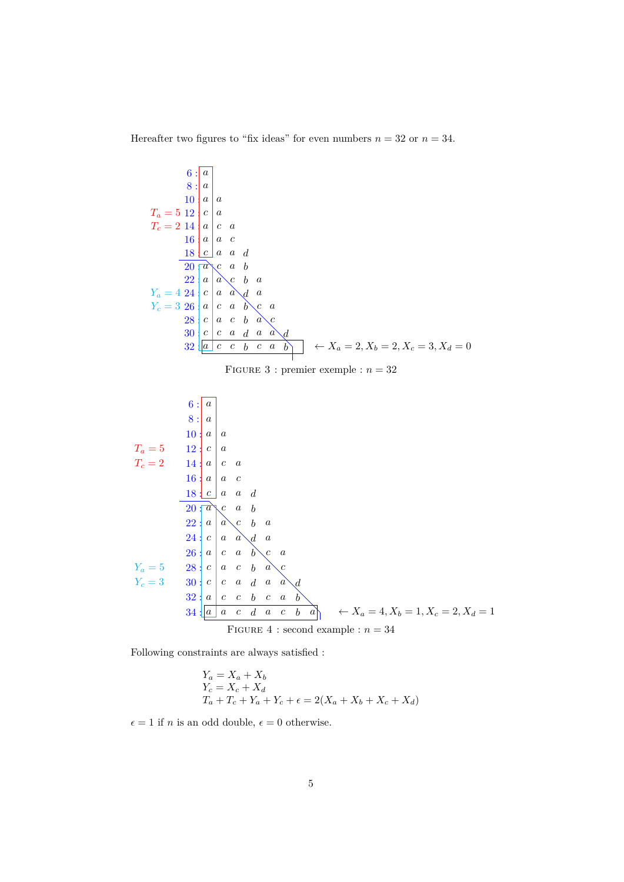Hereafter two figures to "fix ideas" for even numbers  $n = 32$  or  $n = 34$ .

6: 
$$
\begin{array}{c|c|c}\n6: & a & b & a \\
8: & a & a & a \\
10 & a & a & a \\
T_c = 2 & 14 & a & c & a \\
16 & a & a & c & b \\
20 & a & a & b & b \\
Y_c = 3 & 29 & a & c & b & a \\
22 & a & a & b & c & a \\
33 & a & c & b & a & c \\
32 & a & c & b & a & c \\
33 & a & c & b & c & a\n\end{array}
$$
  
\n7. 
$$
\begin{array}{c|c|c}\n1 & 2 & a & a & b & a \\
2 & 3 & 4 & a & b & c \\
3 & 5 & 4 & a & a & a \\
5 & 6 & 5 & 6 & 6 \\
5 & 6 & 6 & 6 & 6 & 6 \\
6 & 7 & 8 & 7 & 8\n\end{array}
$$
  
\n8: 
$$
\begin{array}{c|c|c}\n6: & a & b & a & c \\
a & a & a & a & a \\
b & a & a & a & a \\
c & a & b & a & a \\
d & a & c & b & a \\
22 & a & a & c & b & a \\
23 & a & a & c & b & a \\
24 & a & a & a & b & c \\
25 & a & a & a & b & c \\
26 & a & a & b & c & a \\
27 & a & c & a & b & a \\
28 & a & c & b & a & c \\
29 & a & c & b & a & a \\
20 & a & c & b & a & a \\
21 & a & c & a & b & c \\
22 & a & a & c & b & a \\
23 & a & c & c & b & c & a \\
24 & a & c & a & a & c & b \\
34 & a & c & d & a & c & b & a \\
\end{array}
$$
  
\n7. 
$$
\begin{array}{c|c|c}\n6: & a & b & c & c \\
1 & 1 & 1 & 1 & 1 & 1 \\
a & 1 & 1 & 1 & 1 & 1 \\
a & 1 & 1 & 1 & 1 & 1 \\
a & 1 & 1 & 1 & 1 & 1 \\
a & 1 & 1 & 1 & 1 & 1 \\
a & 1 & 1 & 1 & 1 & 1 \\
a & 1 & 1 & 1 & 1 & 1 \\
a & 1 & 1 & 1 & 1 & 1 \\
a & 1 & 1 & 1 & 1 & 1 \\
a & 1 & 1 & 1 & 1 & 1 \\
a & 1 & 1 & 1 & 1 & 1
$$

Following constraints are always satisfied :

$$
Y_a = X_a + X_b
$$
  
\n
$$
Y_c = X_c + X_d
$$
  
\n
$$
T_a + T_c + Y_a + Y_c + \epsilon = 2(X_a + X_b + X_c + X_d)
$$

 $\epsilon = 1$  if *n* is an odd double,  $\epsilon = 0$  otherwise.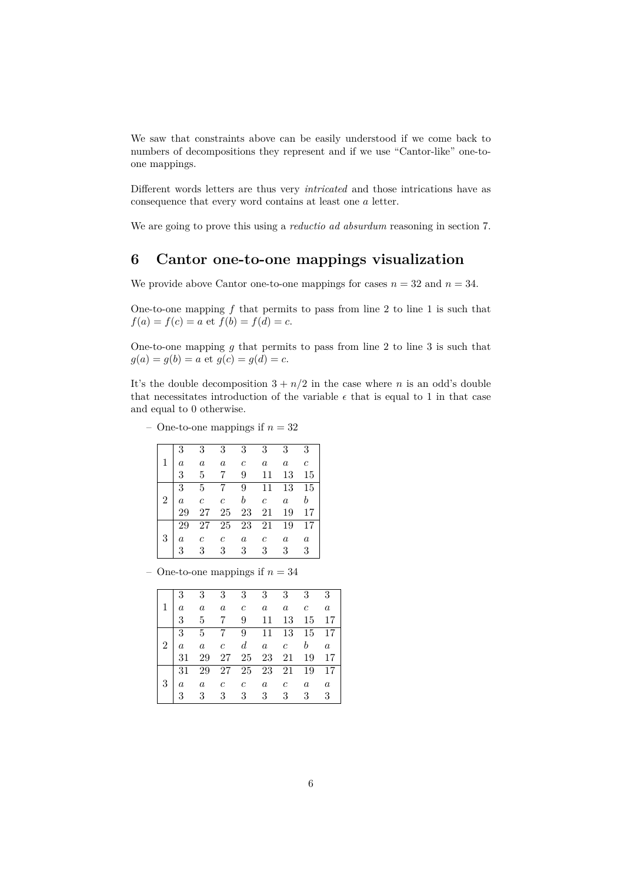We saw that constraints above can be easily understood if we come back to numbers of decompositions they represent and if we use "Cantor-like" one-toone mappings.

Different words letters are thus very *intricated* and those intrications have as consequence that every word contains at least one *a* letter.

We are going to prove this using a *reductio ad absurdum* reasoning in section 7.

#### **6 Cantor one-to-one mappings visualization**

We provide above Cantor one-to-one mappings for cases  $n = 32$  and  $n = 34$ .

One-to-one mapping *f* that permits to pass from line 2 to line 1 is such that  $f(a) = f(c) = a$  et  $f(b) = f(d) = c$ .

One-to-one mapping *g* that permits to pass from line 2 to line 3 is such that  $g(a) = g(b) = a$  et  $g(c) = g(d) = c$ .

It's the double decomposition  $3 + n/2$  in the case where *n* is an odd's double that necessitates introduction of the variable  $\epsilon$  that is equal to 1 in that case and equal to 0 otherwise.

– One-to-one mappings if  $n = 32$ 

| 3                     |
|-----------------------|
| $\mathcal{C}_{0}^{2}$ |
| 15                    |
| 15                    |
| b                     |
| 17                    |
| 17                    |
| $\boldsymbol{a}$      |
| 3                     |
|                       |

– One-to-one mappings if  $n = 34$ 

|                | 3 <sup>1</sup>   | $\overline{3}$                                                                                      | 3 <sup>1</sup> | $3-$           | 3 <sup>1</sup>   |                | $3 \quad 3 \quad 3$                                                   |                  |
|----------------|------------------|-----------------------------------------------------------------------------------------------------|----------------|----------------|------------------|----------------|-----------------------------------------------------------------------|------------------|
| $\mathbf{1}$   |                  | $\begin{array}{ccccccccc} 0 & 0 & 0 & 0 & 0 \\ a & a & a & c & a \\ 3 & 5 & 7 & 9 & 11 \end{array}$ |                |                | $\boldsymbol{a}$ |                | $a \quad c \quad a$                                                   |                  |
|                |                  |                                                                                                     |                |                |                  | 13             | 15 17                                                                 |                  |
|                |                  | $3\quad 5\quad 7$                                                                                   |                |                |                  |                | 9 11 13 15 17                                                         |                  |
| $2^{\circ}$    | $\boldsymbol{a}$ |                                                                                                     |                |                |                  |                | $\begin{array}{ccccccccc}\n a & c & d & a & c & b & a \\ \end{array}$ |                  |
|                | 31               | 29                                                                                                  |                |                |                  |                | 27    25    23    21    19    17                                      |                  |
|                | 31               | 29                                                                                                  |                |                |                  |                | 27    25    23    21    19    17                                      |                  |
| 3 <sup>1</sup> |                  | $\begin{array}{cccccc} a & a & c & c \\ 3 & 3 & 3 & 3 \end{array}$                                  |                |                | $\boldsymbol{a}$ | $\mathfrak{c}$ | $\mathfrak{a}$                                                        | $\boldsymbol{a}$ |
|                |                  |                                                                                                     |                | 3 <sup>7</sup> | 3 <sup>1</sup>   | 3              | $3 \quad 3$                                                           |                  |